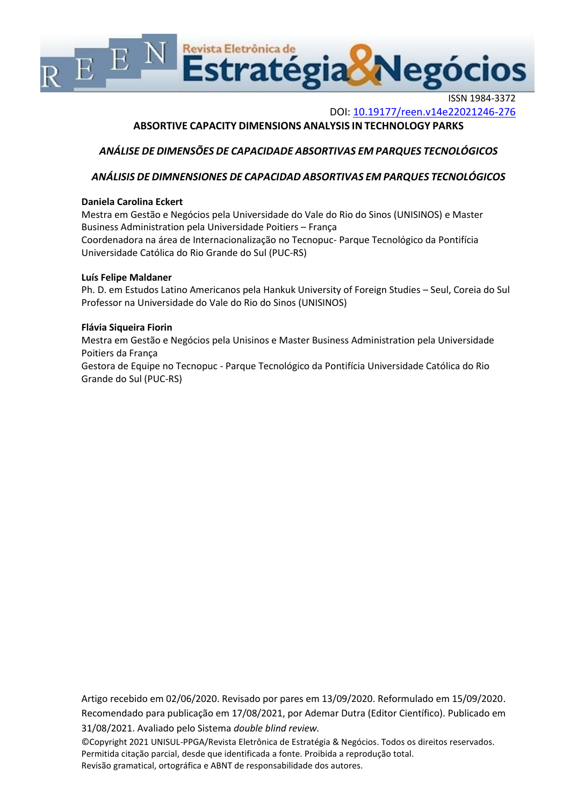

ISSN 1984-3372 DOI: <10.19177/reen.v14e22021246-276>

# **ABSORTIVE CAPACITY DIMENSIONS ANALYSIS IN TECHNOLOGY PARKS**

# *ANÁLISE DE DIMENSÕES DE CAPACIDADE ABSORTIVAS EM PARQUES TECNOLÓGICOS*

# *ANÁLISIS DE DIMNENSIONES DE CAPACIDAD ABSORTIVAS EM PARQUES TECNOLÓGICOS*

## **Daniela Carolina Eckert**

Mestra em Gestão e Negócios pela Universidade do Vale do Rio do Sinos (UNISINOS) e Master Business Administration pela Universidade Poitiers – França Coordenadora na área de Internacionalização no Tecnopuc- Parque Tecnológico da Pontifícia Universidade Católica do Rio Grande do Sul (PUC-RS)

## **Luís Felipe Maldaner**

Ph. D. em Estudos Latino Americanos pela Hankuk University of Foreign Studies – Seul, Coreia do Sul Professor na Universidade do Vale do Rio do Sinos (UNISINOS)

## **Flávia Siqueira Fiorin**

Mestra em Gestão e Negócios pela Unisinos e Master Business Administration pela Universidade Poitiers da França

Gestora de Equipe no Tecnopuc - Parque Tecnológico da Pontifícia Universidade Católica do Rio Grande do Sul (PUC-RS)

Artigo recebido em 02/06/2020. Revisado por pares em 13/09/2020. Reformulado em 15/09/2020. Recomendado para publicação em 17/08/2021, por Ademar Dutra (Editor Científico). Publicado em 31/08/2021. Avaliado pelo Sistema *double blind review.*

©Copyright 2021 UNISUL-PPGA/Revista Eletrônica de Estratégia & Negócios. Todos os direitos reservados. Permitida citação parcial, desde que identificada a fonte. Proibida a reprodução total. Revisão gramatical, ortográfica e ABNT de responsabilidade dos autores.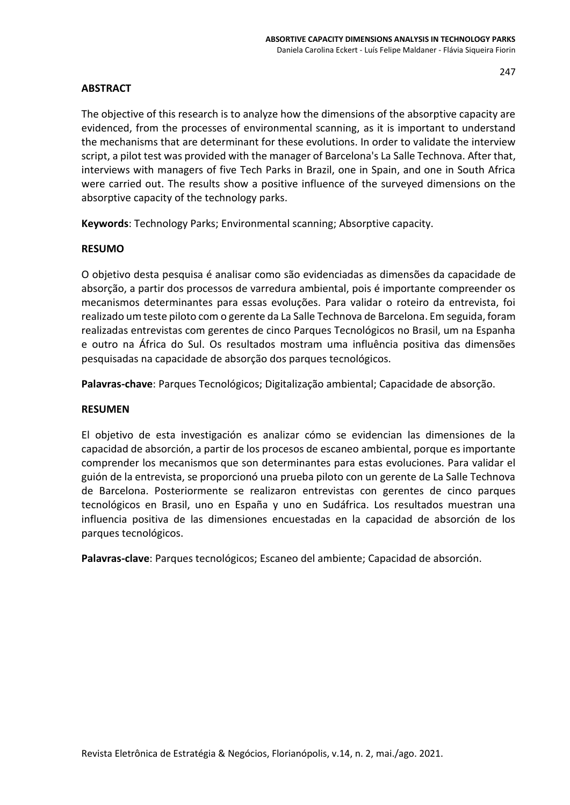# **ABSTRACT**

The objective of this research is to analyze how the dimensions of the absorptive capacity are evidenced, from the processes of environmental scanning, as it is important to understand the mechanisms that are determinant for these evolutions. In order to validate the interview script, a pilot test was provided with the manager of Barcelona's La Salle Technova. After that, interviews with managers of five Tech Parks in Brazil, one in Spain, and one in South Africa were carried out. The results show a positive influence of the surveyed dimensions on the absorptive capacity of the technology parks.

**Keywords**: Technology Parks; Environmental scanning; Absorptive capacity.

# **RESUMO**

O objetivo desta pesquisa é analisar como são evidenciadas as dimensões da capacidade de absorção, a partir dos processos de varredura ambiental, pois é importante compreender os mecanismos determinantes para essas evoluções. Para validar o roteiro da entrevista, foi realizado um teste piloto com o gerente da La Salle Technova de Barcelona. Em seguida, foram realizadas entrevistas com gerentes de cinco Parques Tecnológicos no Brasil, um na Espanha e outro na África do Sul. Os resultados mostram uma influência positiva das dimensões pesquisadas na capacidade de absorção dos parques tecnológicos.

**Palavras-chave**: Parques Tecnológicos; Digitalização ambiental; Capacidade de absorção.

# **RESUMEN**

El objetivo de esta investigación es analizar cómo se evidencian las dimensiones de la capacidad de absorción, a partir de los procesos de escaneo ambiental, porque es importante comprender los mecanismos que son determinantes para estas evoluciones. Para validar el guión de la entrevista, se proporcionó una prueba piloto con un gerente de La Salle Technova de Barcelona. Posteriormente se realizaron entrevistas con gerentes de cinco parques tecnológicos en Brasil, uno en España y uno en Sudáfrica. Los resultados muestran una influencia positiva de las dimensiones encuestadas en la capacidad de absorción de los parques tecnológicos.

**Palavras-clave**: Parques tecnológicos; Escaneo del ambiente; Capacidad de absorción.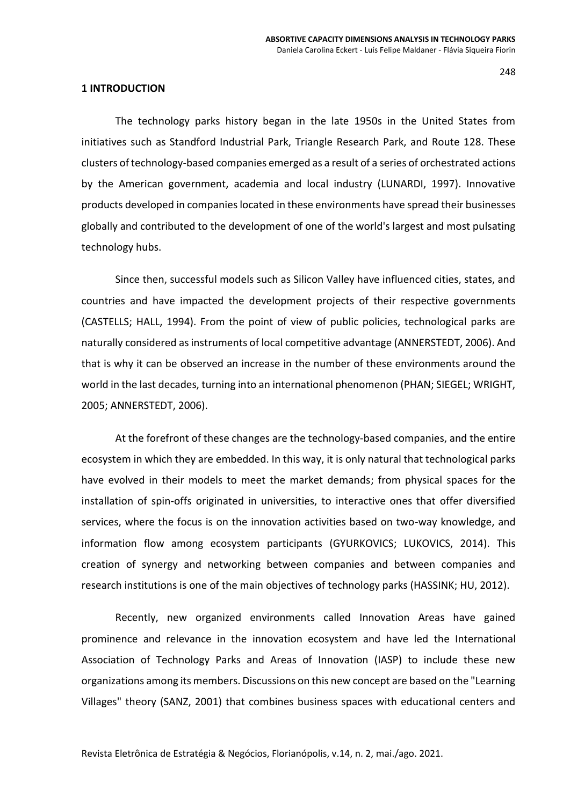#### **1 INTRODUCTION**

The technology parks history began in the late 1950s in the United States from initiatives such as Standford Industrial Park, Triangle Research Park, and Route 128. These clusters of technology-based companies emerged as a result of a series of orchestrated actions by the American government, academia and local industry (LUNARDI, 1997). Innovative products developed in companies located in these environments have spread their businesses globally and contributed to the development of one of the world's largest and most pulsating technology hubs.

Since then, successful models such as Silicon Valley have influenced cities, states, and countries and have impacted the development projects of their respective governments (CASTELLS; HALL, 1994). From the point of view of public policies, technological parks are naturally considered as instruments of local competitive advantage (ANNERSTEDT, 2006). And that is why it can be observed an increase in the number of these environments around the world in the last decades, turning into an international phenomenon (PHAN; SIEGEL; WRIGHT, 2005; ANNERSTEDT, 2006).

At the forefront of these changes are the technology-based companies, and the entire ecosystem in which they are embedded. In this way, it is only natural that technological parks have evolved in their models to meet the market demands; from physical spaces for the installation of spin-offs originated in universities, to interactive ones that offer diversified services, where the focus is on the innovation activities based on two-way knowledge, and information flow among ecosystem participants (GYURKOVICS; LUKOVICS, 2014). This creation of synergy and networking between companies and between companies and research institutions is one of the main objectives of technology parks (HASSINK; HU, 2012).

Recently, new organized environments called Innovation Areas have gained prominence and relevance in the innovation ecosystem and have led the International Association of Technology Parks and Areas of Innovation (IASP) to include these new organizations among its members. Discussions on this new concept are based on the "Learning Villages" theory (SANZ, 2001) that combines business spaces with educational centers and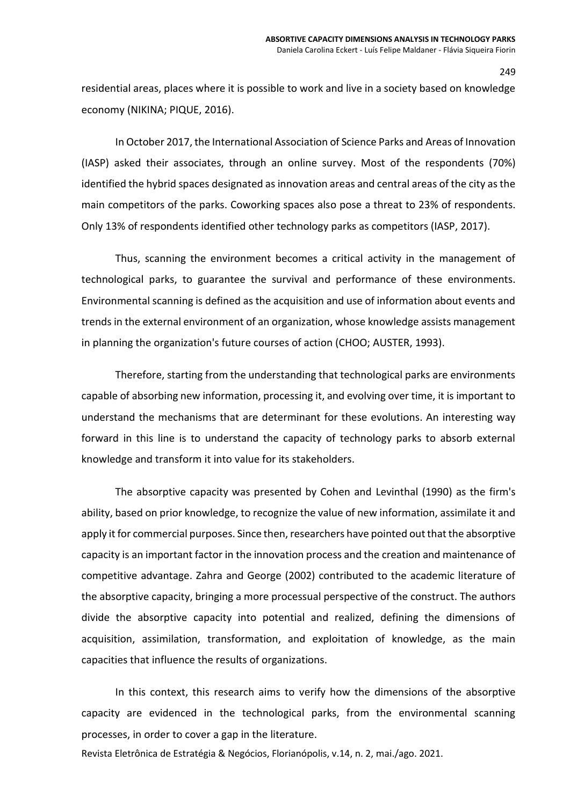residential areas, places where it is possible to work and live in a society based on knowledge economy (NIKINA; PIQUE, 2016).

In October 2017, the International Association of Science Parks and Areas of Innovation (IASP) asked their associates, through an online survey. Most of the respondents (70%) identified the hybrid spaces designated as innovation areas and central areas of the city as the main competitors of the parks. Coworking spaces also pose a threat to 23% of respondents. Only 13% of respondents identified other technology parks as competitors (IASP, 2017).

Thus, scanning the environment becomes a critical activity in the management of technological parks, to guarantee the survival and performance of these environments. Environmental scanning is defined as the acquisition and use of information about events and trends in the external environment of an organization, whose knowledge assists management in planning the organization's future courses of action (CHOO; AUSTER, 1993).

Therefore, starting from the understanding that technological parks are environments capable of absorbing new information, processing it, and evolving over time, it is important to understand the mechanisms that are determinant for these evolutions. An interesting way forward in this line is to understand the capacity of technology parks to absorb external knowledge and transform it into value for its stakeholders.

The absorptive capacity was presented by Cohen and Levinthal (1990) as the firm's ability, based on prior knowledge, to recognize the value of new information, assimilate it and apply it for commercial purposes. Since then, researchers have pointed out that the absorptive capacity is an important factor in the innovation process and the creation and maintenance of competitive advantage. Zahra and George (2002) contributed to the academic literature of the absorptive capacity, bringing a more processual perspective of the construct. The authors divide the absorptive capacity into potential and realized, defining the dimensions of acquisition, assimilation, transformation, and exploitation of knowledge, as the main capacities that influence the results of organizations.

In this context, this research aims to verify how the dimensions of the absorptive capacity are evidenced in the technological parks, from the environmental scanning processes, in order to cover a gap in the literature.

Revista Eletrônica de Estratégia & Negócios, Florianópolis, v.14, n. 2, mai./ago. 2021.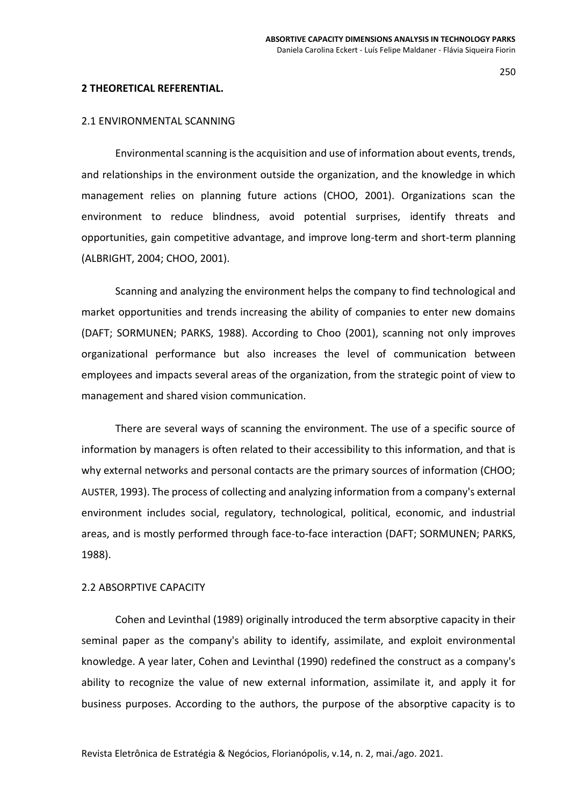#### **2 THEORETICAL REFERENTIAL.**

## 2.1 ENVIRONMENTAL SCANNING

Environmental scanning is the acquisition and use of information about events, trends, and relationships in the environment outside the organization, and the knowledge in which management relies on planning future actions (CHOO, 2001). Organizations scan the environment to reduce blindness, avoid potential surprises, identify threats and opportunities, gain competitive advantage, and improve long-term and short-term planning (ALBRIGHT, 2004; CHOO, 2001).

Scanning and analyzing the environment helps the company to find technological and market opportunities and trends increasing the ability of companies to enter new domains (DAFT; SORMUNEN; PARKS, 1988). According to Choo (2001), scanning not only improves organizational performance but also increases the level of communication between employees and impacts several areas of the organization, from the strategic point of view to management and shared vision communication.

There are several ways of scanning the environment. The use of a specific source of information by managers is often related to their accessibility to this information, and that is why external networks and personal contacts are the primary sources of information (CHOO; AUSTER, 1993). The process of collecting and analyzing information from a company's external environment includes social, regulatory, technological, political, economic, and industrial areas, and is mostly performed through face-to-face interaction (DAFT; SORMUNEN; PARKS, 1988).

#### 2.2 ABSORPTIVE CAPACITY

Cohen and Levinthal (1989) originally introduced the term absorptive capacity in their seminal paper as the company's ability to identify, assimilate, and exploit environmental knowledge. A year later, Cohen and Levinthal (1990) redefined the construct as a company's ability to recognize the value of new external information, assimilate it, and apply it for business purposes. According to the authors, the purpose of the absorptive capacity is to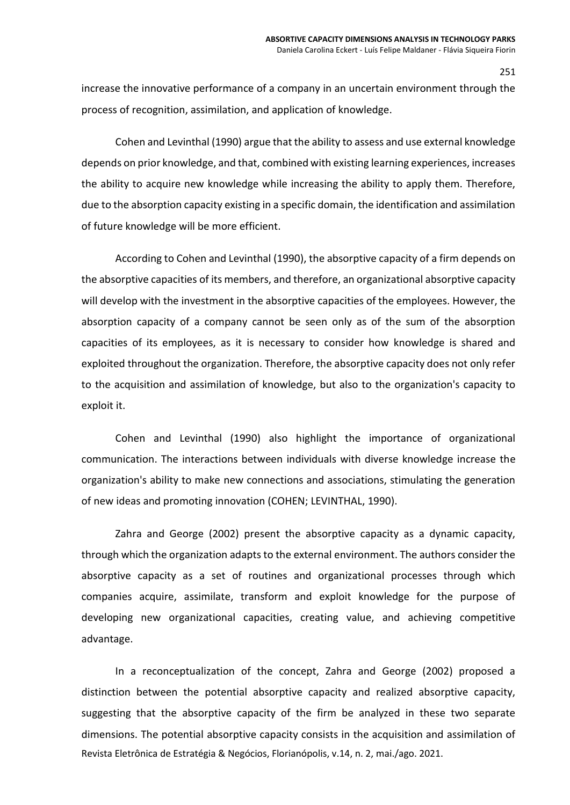increase the innovative performance of a company in an uncertain environment through the process of recognition, assimilation, and application of knowledge.

Cohen and Levinthal (1990) argue that the ability to assess and use external knowledge depends on prior knowledge, and that, combined with existing learning experiences, increases the ability to acquire new knowledge while increasing the ability to apply them. Therefore, due to the absorption capacity existing in a specific domain, the identification and assimilation of future knowledge will be more efficient.

According to Cohen and Levinthal (1990), the absorptive capacity of a firm depends on the absorptive capacities of its members, and therefore, an organizational absorptive capacity will develop with the investment in the absorptive capacities of the employees. However, the absorption capacity of a company cannot be seen only as of the sum of the absorption capacities of its employees, as it is necessary to consider how knowledge is shared and exploited throughout the organization. Therefore, the absorptive capacity does not only refer to the acquisition and assimilation of knowledge, but also to the organization's capacity to exploit it.

Cohen and Levinthal (1990) also highlight the importance of organizational communication. The interactions between individuals with diverse knowledge increase the organization's ability to make new connections and associations, stimulating the generation of new ideas and promoting innovation (COHEN; LEVINTHAL, 1990).

Zahra and George (2002) present the absorptive capacity as a dynamic capacity, through which the organization adapts to the external environment. The authors consider the absorptive capacity as a set of routines and organizational processes through which companies acquire, assimilate, transform and exploit knowledge for the purpose of developing new organizational capacities, creating value, and achieving competitive advantage.

Revista Eletrônica de Estratégia & Negócios, Florianópolis, v.14, n. 2, mai./ago. 2021. In a reconceptualization of the concept, Zahra and George (2002) proposed a distinction between the potential absorptive capacity and realized absorptive capacity, suggesting that the absorptive capacity of the firm be analyzed in these two separate dimensions. The potential absorptive capacity consists in the acquisition and assimilation of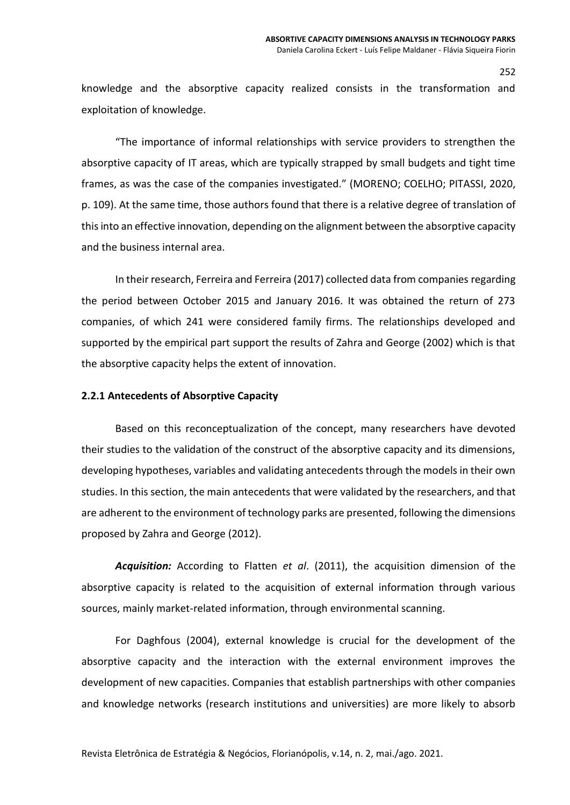knowledge and the absorptive capacity realized consists in the transformation and exploitation of knowledge.

"The importance of informal relationships with service providers to strengthen the absorptive capacity of IT areas, which are typically strapped by small budgets and tight time frames, as was the case of the companies investigated." (MORENO; COELHO; PITASSI, 2020, p. 109). At the same time, those authors found that there is a relative degree of translation of this into an effective innovation, depending on the alignment between the absorptive capacity and the business internal area.

In their research, Ferreira and Ferreira (2017) collected data from companies regarding the period between October 2015 and January 2016. It was obtained the return of 273 companies, of which 241 were considered family firms. The relationships developed and supported by the empirical part support the results of Zahra and George (2002) which is that the absorptive capacity helps the extent of innovation.

## **2.2.1 Antecedents of Absorptive Capacity**

Based on this reconceptualization of the concept, many researchers have devoted their studies to the validation of the construct of the absorptive capacity and its dimensions, developing hypotheses, variables and validating antecedents through the models in their own studies. In this section, the main antecedents that were validated by the researchers, and that are adherent to the environment of technology parks are presented, following the dimensions proposed by Zahra and George (2012).

*Acquisition:* According to Flatten *et al*. (2011), the acquisition dimension of the absorptive capacity is related to the acquisition of external information through various sources, mainly market-related information, through environmental scanning.

For Daghfous (2004), external knowledge is crucial for the development of the absorptive capacity and the interaction with the external environment improves the development of new capacities. Companies that establish partnerships with other companies and knowledge networks (research institutions and universities) are more likely to absorb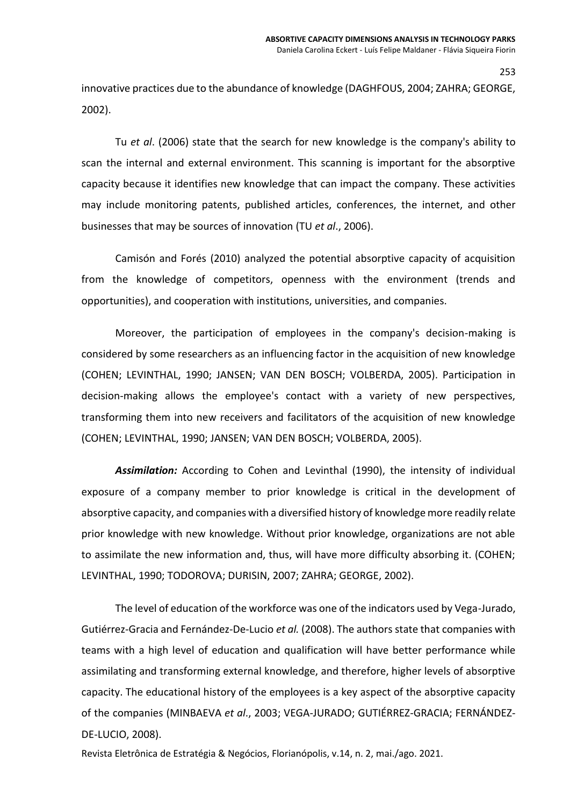innovative practices due to the abundance of knowledge (DAGHFOUS, 2004; ZAHRA; GEORGE, 2002).

Tu *et al*. (2006) state that the search for new knowledge is the company's ability to scan the internal and external environment. This scanning is important for the absorptive capacity because it identifies new knowledge that can impact the company. These activities may include monitoring patents, published articles, conferences, the internet, and other businesses that may be sources of innovation (TU *et al*., 2006).

Camisón and Forés (2010) analyzed the potential absorptive capacity of acquisition from the knowledge of competitors, openness with the environment (trends and opportunities), and cooperation with institutions, universities, and companies.

Moreover, the participation of employees in the company's decision-making is considered by some researchers as an influencing factor in the acquisition of new knowledge (COHEN; LEVINTHAL, 1990; JANSEN; VAN DEN BOSCH; VOLBERDA, 2005). Participation in decision-making allows the employee's contact with a variety of new perspectives, transforming them into new receivers and facilitators of the acquisition of new knowledge (COHEN; LEVINTHAL, 1990; JANSEN; VAN DEN BOSCH; VOLBERDA, 2005).

*Assimilation:* According to Cohen and Levinthal (1990), the intensity of individual exposure of a company member to prior knowledge is critical in the development of absorptive capacity, and companies with a diversified history of knowledge more readily relate prior knowledge with new knowledge. Without prior knowledge, organizations are not able to assimilate the new information and, thus, will have more difficulty absorbing it. (COHEN; LEVINTHAL, 1990; TODOROVA; DURISIN, 2007; ZAHRA; GEORGE, 2002).

The level of education of the workforce was one of the indicators used by Vega-Jurado, Gutiérrez‐Gracia and Fernández‐De‐Lucio *et al.* (2008). The authors state that companies with teams with a high level of education and qualification will have better performance while assimilating and transforming external knowledge, and therefore, higher levels of absorptive capacity. The educational history of the employees is a key aspect of the absorptive capacity of the companies (MINBAEVA *et al*., 2003; VEGA-JURADO; GUTIÉRREZ‐GRACIA; FERNÁNDEZ‐ DE‐LUCIO, 2008).

Revista Eletrônica de Estratégia & Negócios, Florianópolis, v.14, n. 2, mai./ago. 2021.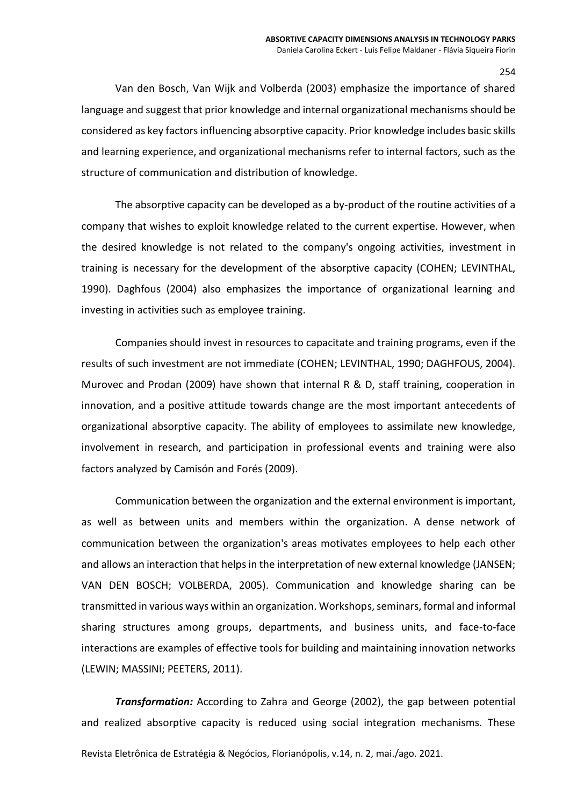Van den Bosch, Van Wijk and Volberda (2003) emphasize the importance of shared language and suggest that prior knowledge and internal organizational mechanisms should be considered as key factors influencing absorptive capacity. Prior knowledge includes basic skills and learning experience, and organizational mechanisms refer to internal factors, such as the structure of communication and distribution of knowledge.

The absorptive capacity can be developed as a by-product of the routine activities of a company that wishes to exploit knowledge related to the current expertise. However, when the desired knowledge is not related to the company's ongoing activities, investment in training is necessary for the development of the absorptive capacity (COHEN; LEVINTHAL, 1990). Daghfous (2004) also emphasizes the importance of organizational learning and investing in activities such as employee training.

Companies should invest in resources to capacitate and training programs, even if the results of such investment are not immediate (COHEN; LEVINTHAL, 1990; DAGHFOUS, 2004). Murovec and Prodan (2009) have shown that internal R & D, staff training, cooperation in innovation, and a positive attitude towards change are the most important antecedents of organizational absorptive capacity. The ability of employees to assimilate new knowledge, involvement in research, and participation in professional events and training were also factors analyzed by Camisón and Forés (2009).

Communication between the organization and the external environment is important, as well as between units and members within the organization. A dense network of communication between the organization's areas motivates employees to help each other and allows an interaction that helps in the interpretation of new external knowledge (JANSEN; VAN DEN BOSCH; VOLBERDA, 2005). Communication and knowledge sharing can be transmitted in various ways within an organization. Workshops, seminars, formal and informal sharing structures among groups, departments, and business units, and face-to-face interactions are examples of effective tools for building and maintaining innovation networks (LEWIN; MASSINI; PEETERS, 2011).

*Transformation:* According to Zahra and George (2002), the gap between potential and realized absorptive capacity is reduced using social integration mechanisms. These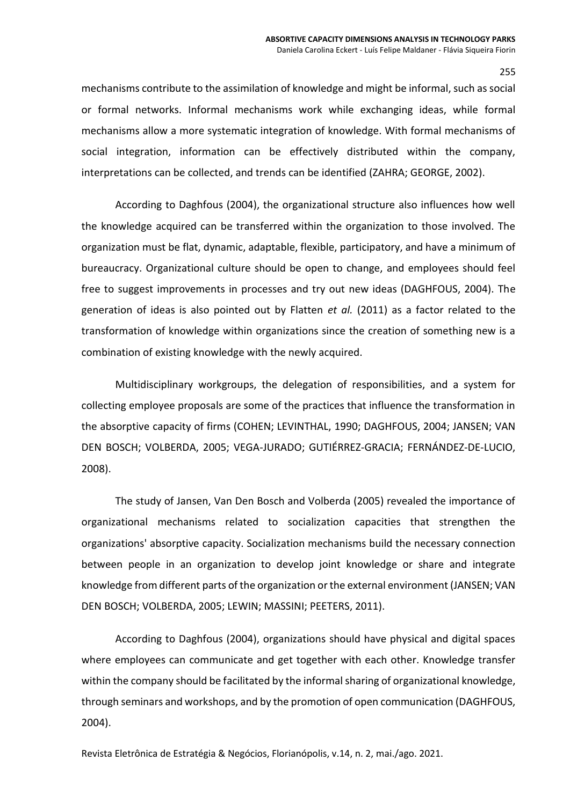mechanisms contribute to the assimilation of knowledge and might be informal, such as social or formal networks. Informal mechanisms work while exchanging ideas, while formal mechanisms allow a more systematic integration of knowledge. With formal mechanisms of social integration, information can be effectively distributed within the company, interpretations can be collected, and trends can be identified (ZAHRA; GEORGE, 2002).

According to Daghfous (2004), the organizational structure also influences how well the knowledge acquired can be transferred within the organization to those involved. The organization must be flat, dynamic, adaptable, flexible, participatory, and have a minimum of bureaucracy. Organizational culture should be open to change, and employees should feel free to suggest improvements in processes and try out new ideas (DAGHFOUS, 2004). The generation of ideas is also pointed out by Flatten *et al.* (2011) as a factor related to the transformation of knowledge within organizations since the creation of something new is a combination of existing knowledge with the newly acquired.

Multidisciplinary workgroups, the delegation of responsibilities, and a system for collecting employee proposals are some of the practices that influence the transformation in the absorptive capacity of firms (COHEN; LEVINTHAL, 1990; DAGHFOUS, 2004; JANSEN; VAN DEN BOSCH; VOLBERDA, 2005; VEGA-JURADO; GUTIÉRREZ‐GRACIA; FERNÁNDEZ‐DE‐LUCIO, 2008).

The study of Jansen, Van Den Bosch and Volberda (2005) revealed the importance of organizational mechanisms related to socialization capacities that strengthen the organizations' absorptive capacity. Socialization mechanisms build the necessary connection between people in an organization to develop joint knowledge or share and integrate knowledge from different parts of the organization or the external environment (JANSEN; VAN DEN BOSCH; VOLBERDA, 2005; LEWIN; MASSINI; PEETERS, 2011).

According to Daghfous (2004), organizations should have physical and digital spaces where employees can communicate and get together with each other. Knowledge transfer within the company should be facilitated by the informal sharing of organizational knowledge, through seminars and workshops, and by the promotion of open communication (DAGHFOUS, 2004).

Revista Eletrônica de Estratégia & Negócios, Florianópolis, v.14, n. 2, mai./ago. 2021.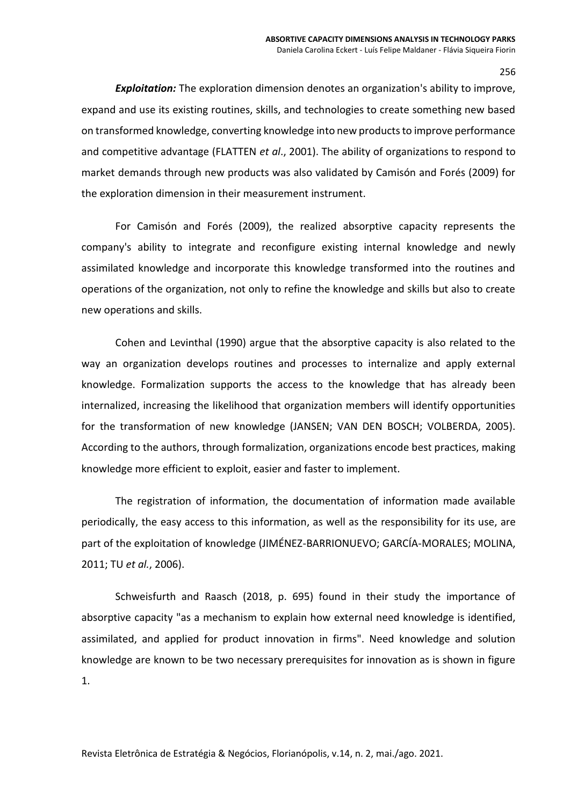*Exploitation:* The exploration dimension denotes an organization's ability to improve, expand and use its existing routines, skills, and technologies to create something new based on transformed knowledge, converting knowledge into new products to improve performance and competitive advantage (FLATTEN *et al*., 2001). The ability of organizations to respond to market demands through new products was also validated by Camisón and Forés (2009) for the exploration dimension in their measurement instrument.

For Camisón and Forés (2009), the realized absorptive capacity represents the company's ability to integrate and reconfigure existing internal knowledge and newly assimilated knowledge and incorporate this knowledge transformed into the routines and operations of the organization, not only to refine the knowledge and skills but also to create new operations and skills.

Cohen and Levinthal (1990) argue that the absorptive capacity is also related to the way an organization develops routines and processes to internalize and apply external knowledge. Formalization supports the access to the knowledge that has already been internalized, increasing the likelihood that organization members will identify opportunities for the transformation of new knowledge (JANSEN; VAN DEN BOSCH; VOLBERDA, 2005). According to the authors, through formalization, organizations encode best practices, making knowledge more efficient to exploit, easier and faster to implement.

The registration of information, the documentation of information made available periodically, the easy access to this information, as well as the responsibility for its use, are part of the exploitation of knowledge (JIMÉNEZ-BARRIONUEVO; GARCÍA-MORALES; MOLINA, 2011; TU *et al.*, 2006).

Schweisfurth and Raasch (2018, p. 695) found in their study the importance of absorptive capacity "as a mechanism to explain how external need knowledge is identified, assimilated, and applied for product innovation in firms". Need knowledge and solution knowledge are known to be two necessary prerequisites for innovation as is shown in figure 1.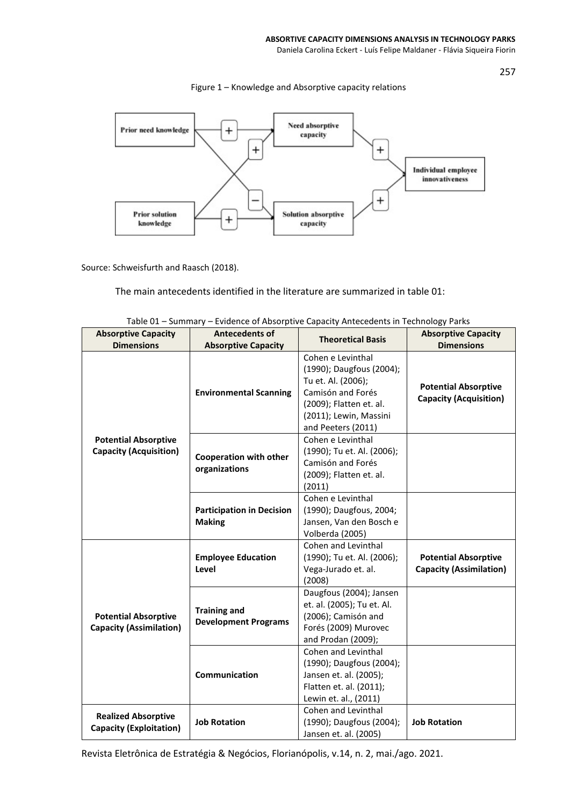Daniela Carolina Eckert - Luís Felipe Maldaner - Flávia Siqueira Fiorin

257



Figure 1 – Knowledge and Absorptive capacity relations

Source: Schweisfurth and Raasch (2018).

The main antecedents identified in the literature are summarized in table 01:

| <b>Absorptive Capacity</b>                                    | <b>Antecedents of</b>                              | $\epsilon$ , and the state part of capacity antecedents in a completely a direct<br><b>Theoretical Basis</b>                                                        | <b>Absorptive Capacity</b>                                    |
|---------------------------------------------------------------|----------------------------------------------------|---------------------------------------------------------------------------------------------------------------------------------------------------------------------|---------------------------------------------------------------|
| <b>Dimensions</b>                                             | <b>Absorptive Capacity</b>                         |                                                                                                                                                                     | <b>Dimensions</b>                                             |
| <b>Potential Absorptive</b><br><b>Capacity (Acquisition)</b>  | <b>Environmental Scanning</b>                      | Cohen e Levinthal<br>(1990); Daugfous (2004);<br>Tu et. Al. (2006);<br>Camisón and Forés<br>(2009); Flatten et. al.<br>(2011); Lewin, Massini<br>and Peeters (2011) | <b>Potential Absorptive</b><br><b>Capacity (Acquisition)</b>  |
|                                                               | <b>Cooperation with other</b><br>organizations     | Cohen e Levinthal<br>(1990); Tu et. Al. (2006);<br>Camisón and Forés<br>(2009); Flatten et. al.<br>(2011)                                                           |                                                               |
|                                                               | <b>Participation in Decision</b><br><b>Making</b>  | Cohen e Levinthal<br>(1990); Daugfous, 2004;<br>Jansen, Van den Bosch e<br>Volberda (2005)                                                                          |                                                               |
| <b>Potential Absorptive</b><br><b>Capacity (Assimilation)</b> | <b>Employee Education</b><br>Level                 | Cohen and Levinthal<br>(1990); Tu et. Al. (2006);<br>Vega-Jurado et. al.<br>(2008)                                                                                  | <b>Potential Absorptive</b><br><b>Capacity (Assimilation)</b> |
|                                                               | <b>Training and</b><br><b>Development Programs</b> | Daugfous (2004); Jansen<br>et. al. (2005); Tu et. Al.<br>(2006); Camisón and<br>Forés (2009) Murovec<br>and Prodan (2009);                                          |                                                               |
|                                                               | <b>Communication</b>                               | Cohen and Levinthal<br>(1990); Daugfous (2004);<br>Jansen et. al. (2005);<br>Flatten et. al. (2011);<br>Lewin et. al., (2011)                                       |                                                               |
| <b>Realized Absorptive</b><br><b>Capacity (Exploitation)</b>  | <b>Job Rotation</b>                                | Cohen and Levinthal<br>(1990); Daugfous (2004);<br>Jansen et. al. (2005)                                                                                            | <b>Job Rotation</b>                                           |

| Table 01 – Summary – Evidence of Absorptive Capacity Antecedents in Technology Parks |  |  |
|--------------------------------------------------------------------------------------|--|--|
|                                                                                      |  |  |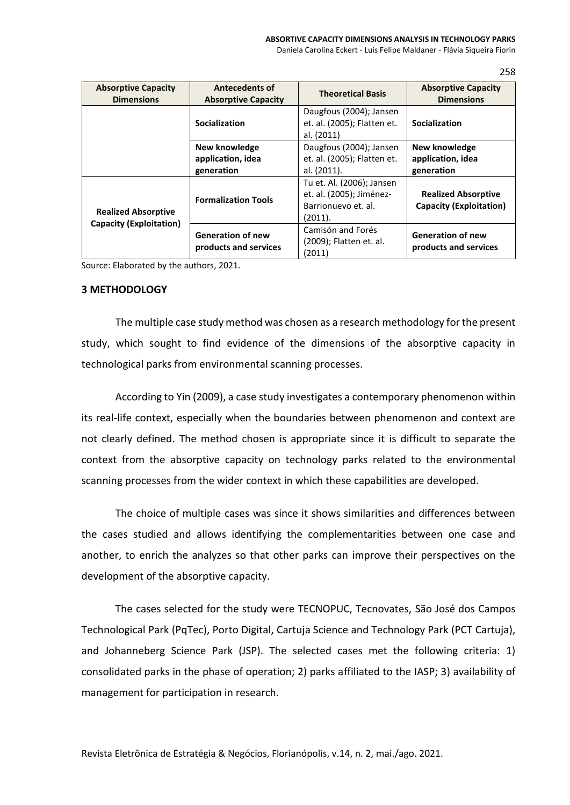Daniela Carolina Eckert - Luís Felipe Maldaner - Flávia Siqueira Fiorin

258

| <b>Absorptive Capacity</b><br><b>Dimensions</b>       | <b>Antecedents of</b><br><b>Absorptive Capacity</b> | <b>Theoretical Basis</b>                                                                | <b>Absorptive Capacity</b><br><b>Dimensions</b>              |
|-------------------------------------------------------|-----------------------------------------------------|-----------------------------------------------------------------------------------------|--------------------------------------------------------------|
|                                                       | Socialization                                       | Daugfous (2004); Jansen<br>et. al. (2005); Flatten et.<br>al. (2011)                    | Socialization                                                |
|                                                       | New knowledge<br>application, idea<br>generation    | Daugfous (2004); Jansen<br>et. al. (2005); Flatten et.<br>al. (2011).                   | New knowledge<br>application, idea<br>generation             |
| <b>Realized Absorptive</b><br>Capacity (Exploitation) | <b>Formalization Tools</b>                          | Tu et. Al. (2006); Jansen<br>et. al. (2005); Jiménez-<br>Barrionuevo et. al.<br>(2011). | <b>Realized Absorptive</b><br><b>Capacity (Exploitation)</b> |
|                                                       | <b>Generation of new</b><br>products and services   | Camisón and Forés<br>(2009); Flatten et. al.<br>(2011)                                  | <b>Generation of new</b><br>products and services            |

Source: Elaborated by the authors, 2021.

## **3 METHODOLOGY**

The multiple case study method was chosen as a research methodology for the present study, which sought to find evidence of the dimensions of the absorptive capacity in technological parks from environmental scanning processes.

According to Yin (2009), a case study investigates a contemporary phenomenon within its real-life context, especially when the boundaries between phenomenon and context are not clearly defined. The method chosen is appropriate since it is difficult to separate the context from the absorptive capacity on technology parks related to the environmental scanning processes from the wider context in which these capabilities are developed.

The choice of multiple cases was since it shows similarities and differences between the cases studied and allows identifying the complementarities between one case and another, to enrich the analyzes so that other parks can improve their perspectives on the development of the absorptive capacity.

The cases selected for the study were TECNOPUC, Tecnovates, São José dos Campos Technological Park (PqTec), Porto Digital, Cartuja Science and Technology Park (PCT Cartuja), and Johanneberg Science Park (JSP). The selected cases met the following criteria: 1) consolidated parks in the phase of operation; 2) parks affiliated to the IASP; 3) availability of management for participation in research.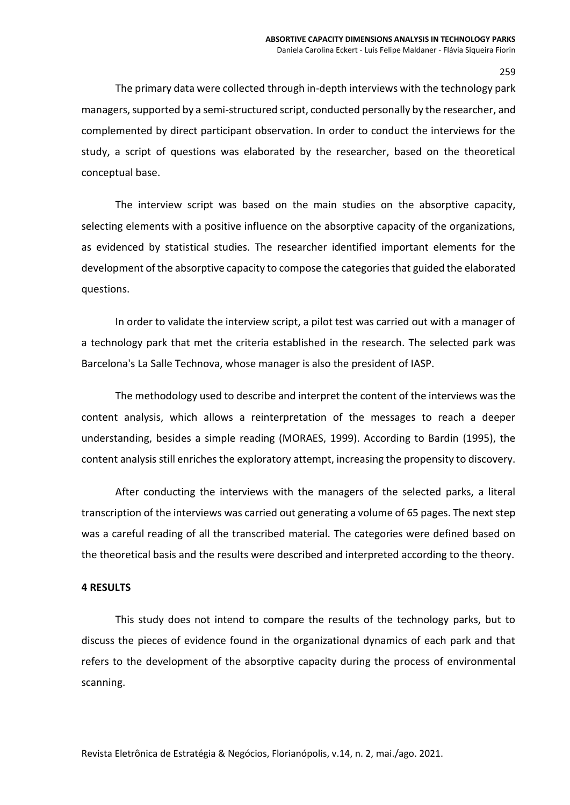The primary data were collected through in-depth interviews with the technology park managers, supported by a semi-structured script, conducted personally by the researcher, and complemented by direct participant observation. In order to conduct the interviews for the study, a script of questions was elaborated by the researcher, based on the theoretical conceptual base.

The interview script was based on the main studies on the absorptive capacity, selecting elements with a positive influence on the absorptive capacity of the organizations, as evidenced by statistical studies. The researcher identified important elements for the development of the absorptive capacity to compose the categories that guided the elaborated questions.

In order to validate the interview script, a pilot test was carried out with a manager of a technology park that met the criteria established in the research. The selected park was Barcelona's La Salle Technova, whose manager is also the president of IASP.

The methodology used to describe and interpret the content of the interviews was the content analysis, which allows a reinterpretation of the messages to reach a deeper understanding, besides a simple reading (MORAES, 1999). According to Bardin (1995), the content analysis still enriches the exploratory attempt, increasing the propensity to discovery.

After conducting the interviews with the managers of the selected parks, a literal transcription of the interviews was carried out generating a volume of 65 pages. The next step was a careful reading of all the transcribed material. The categories were defined based on the theoretical basis and the results were described and interpreted according to the theory.

# **4 RESULTS**

This study does not intend to compare the results of the technology parks, but to discuss the pieces of evidence found in the organizational dynamics of each park and that refers to the development of the absorptive capacity during the process of environmental scanning.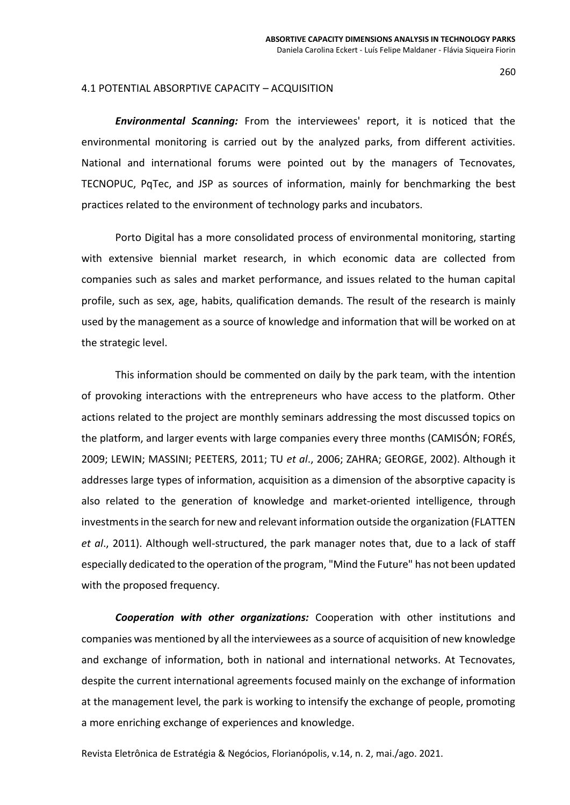#### 4.1 POTENTIAL ABSORPTIVE CAPACITY – ACQUISITION

*Environmental Scanning:* From the interviewees' report, it is noticed that the environmental monitoring is carried out by the analyzed parks, from different activities. National and international forums were pointed out by the managers of Tecnovates, TECNOPUC, PqTec, and JSP as sources of information, mainly for benchmarking the best practices related to the environment of technology parks and incubators.

Porto Digital has a more consolidated process of environmental monitoring, starting with extensive biennial market research, in which economic data are collected from companies such as sales and market performance, and issues related to the human capital profile, such as sex, age, habits, qualification demands. The result of the research is mainly used by the management as a source of knowledge and information that will be worked on at the strategic level.

This information should be commented on daily by the park team, with the intention of provoking interactions with the entrepreneurs who have access to the platform. Other actions related to the project are monthly seminars addressing the most discussed topics on the platform, and larger events with large companies every three months (CAMISÓN; FORÉS, 2009; LEWIN; MASSINI; PEETERS, 2011; TU *et al*., 2006; ZAHRA; GEORGE, 2002). Although it addresses large types of information, acquisition as a dimension of the absorptive capacity is also related to the generation of knowledge and market-oriented intelligence, through investments in the search for new and relevant information outside the organization (FLATTEN *et al*., 2011). Although well-structured, the park manager notes that, due to a lack of staff especially dedicated to the operation of the program, "Mind the Future" has not been updated with the proposed frequency.

*Cooperation with other organizations:* Cooperation with other institutions and companies was mentioned by all the interviewees as a source of acquisition of new knowledge and exchange of information, both in national and international networks. At Tecnovates, despite the current international agreements focused mainly on the exchange of information at the management level, the park is working to intensify the exchange of people, promoting a more enriching exchange of experiences and knowledge.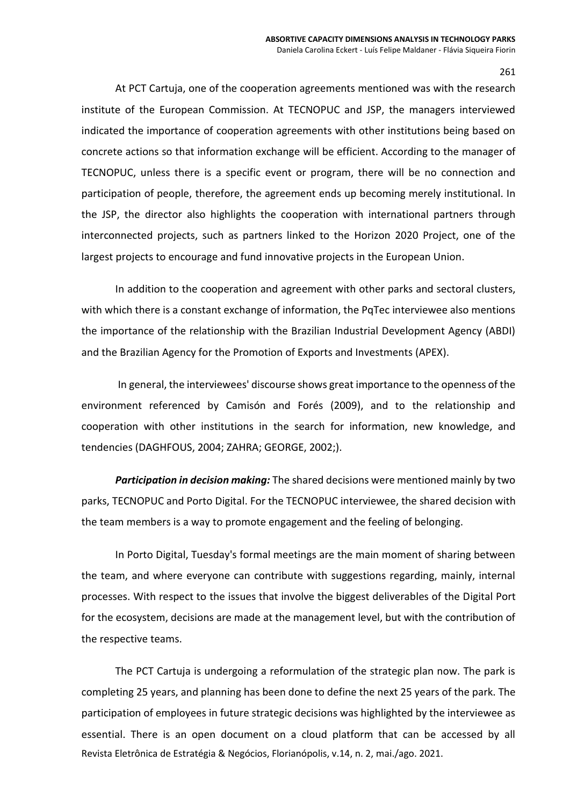At PCT Cartuja, one of the cooperation agreements mentioned was with the research institute of the European Commission. At TECNOPUC and JSP, the managers interviewed indicated the importance of cooperation agreements with other institutions being based on concrete actions so that information exchange will be efficient. According to the manager of TECNOPUC, unless there is a specific event or program, there will be no connection and participation of people, therefore, the agreement ends up becoming merely institutional. In the JSP, the director also highlights the cooperation with international partners through interconnected projects, such as partners linked to the Horizon 2020 Project, one of the largest projects to encourage and fund innovative projects in the European Union.

In addition to the cooperation and agreement with other parks and sectoral clusters, with which there is a constant exchange of information, the PqTec interviewee also mentions the importance of the relationship with the Brazilian Industrial Development Agency (ABDI) and the Brazilian Agency for the Promotion of Exports and Investments (APEX).

In general, the interviewees' discourse shows great importance to the openness of the environment referenced by Camisón and Forés (2009), and to the relationship and cooperation with other institutions in the search for information, new knowledge, and tendencies (DAGHFOUS, 2004; ZAHRA; GEORGE, 2002;).

*Participation in decision making:* The shared decisions were mentioned mainly by two parks, TECNOPUC and Porto Digital. For the TECNOPUC interviewee, the shared decision with the team members is a way to promote engagement and the feeling of belonging.

In Porto Digital, Tuesday's formal meetings are the main moment of sharing between the team, and where everyone can contribute with suggestions regarding, mainly, internal processes. With respect to the issues that involve the biggest deliverables of the Digital Port for the ecosystem, decisions are made at the management level, but with the contribution of the respective teams.

Revista Eletrônica de Estratégia & Negócios, Florianópolis, v.14, n. 2, mai./ago. 2021. The PCT Cartuja is undergoing a reformulation of the strategic plan now. The park is completing 25 years, and planning has been done to define the next 25 years of the park. The participation of employees in future strategic decisions was highlighted by the interviewee as essential. There is an open document on a cloud platform that can be accessed by all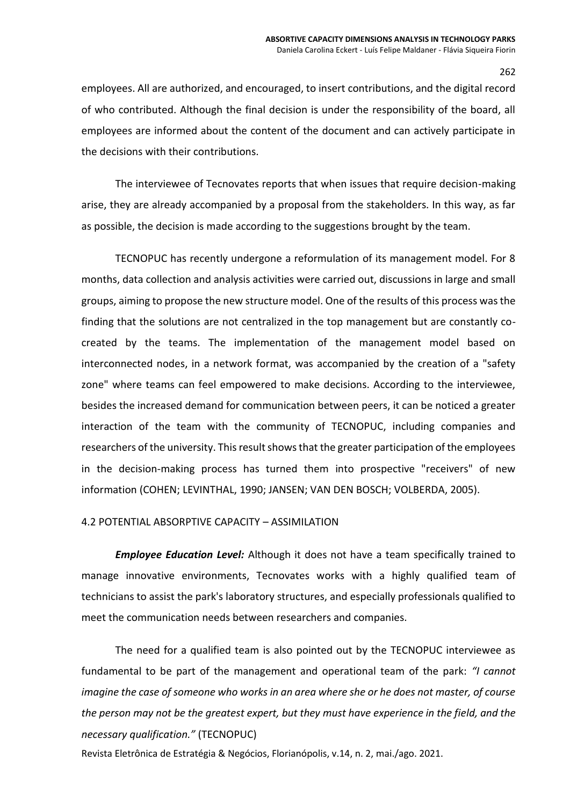employees. All are authorized, and encouraged, to insert contributions, and the digital record of who contributed. Although the final decision is under the responsibility of the board, all employees are informed about the content of the document and can actively participate in the decisions with their contributions.

The interviewee of Tecnovates reports that when issues that require decision-making arise, they are already accompanied by a proposal from the stakeholders. In this way, as far as possible, the decision is made according to the suggestions brought by the team.

TECNOPUC has recently undergone a reformulation of its management model. For 8 months, data collection and analysis activities were carried out, discussions in large and small groups, aiming to propose the new structure model. One of the results of this process was the finding that the solutions are not centralized in the top management but are constantly cocreated by the teams. The implementation of the management model based on interconnected nodes, in a network format, was accompanied by the creation of a "safety zone" where teams can feel empowered to make decisions. According to the interviewee, besides the increased demand for communication between peers, it can be noticed a greater interaction of the team with the community of TECNOPUC, including companies and researchers of the university. This result shows that the greater participation of the employees in the decision-making process has turned them into prospective "receivers" of new information (COHEN; LEVINTHAL, 1990; JANSEN; VAN DEN BOSCH; VOLBERDA, 2005).

# 4.2 POTENTIAL ABSORPTIVE CAPACITY – ASSIMILATION

*Employee Education Level:* Although it does not have a team specifically trained to manage innovative environments, Tecnovates works with a highly qualified team of technicians to assist the park's laboratory structures, and especially professionals qualified to meet the communication needs between researchers and companies.

The need for a qualified team is also pointed out by the TECNOPUC interviewee as fundamental to be part of the management and operational team of the park: *"I cannot imagine the case of someone who works in an area where she or he does not master, of course the person may not be the greatest expert, but they must have experience in the field, and the necessary qualification."* (TECNOPUC)

Revista Eletrônica de Estratégia & Negócios, Florianópolis, v.14, n. 2, mai./ago. 2021.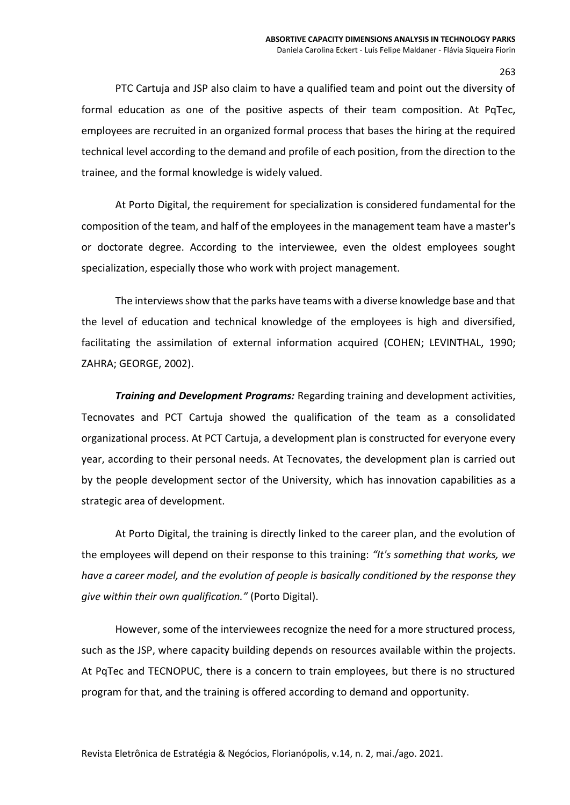PTC Cartuja and JSP also claim to have a qualified team and point out the diversity of formal education as one of the positive aspects of their team composition. At PqTec, employees are recruited in an organized formal process that bases the hiring at the required technical level according to the demand and profile of each position, from the direction to the trainee, and the formal knowledge is widely valued.

At Porto Digital, the requirement for specialization is considered fundamental for the composition of the team, and half of the employees in the management team have a master's or doctorate degree. According to the interviewee, even the oldest employees sought specialization, especially those who work with project management.

The interviews show that the parks have teams with a diverse knowledge base and that the level of education and technical knowledge of the employees is high and diversified, facilitating the assimilation of external information acquired (COHEN; LEVINTHAL, 1990; ZAHRA; GEORGE, 2002).

*Training and Development Programs:* Regarding training and development activities, Tecnovates and PCT Cartuja showed the qualification of the team as a consolidated organizational process. At PCT Cartuja, a development plan is constructed for everyone every year, according to their personal needs. At Tecnovates, the development plan is carried out by the people development sector of the University, which has innovation capabilities as a strategic area of development.

At Porto Digital, the training is directly linked to the career plan, and the evolution of the employees will depend on their response to this training: *"It's something that works, we have a career model, and the evolution of people is basically conditioned by the response they give within their own qualification."* (Porto Digital).

However, some of the interviewees recognize the need for a more structured process, such as the JSP, where capacity building depends on resources available within the projects. At PqTec and TECNOPUC, there is a concern to train employees, but there is no structured program for that, and the training is offered according to demand and opportunity.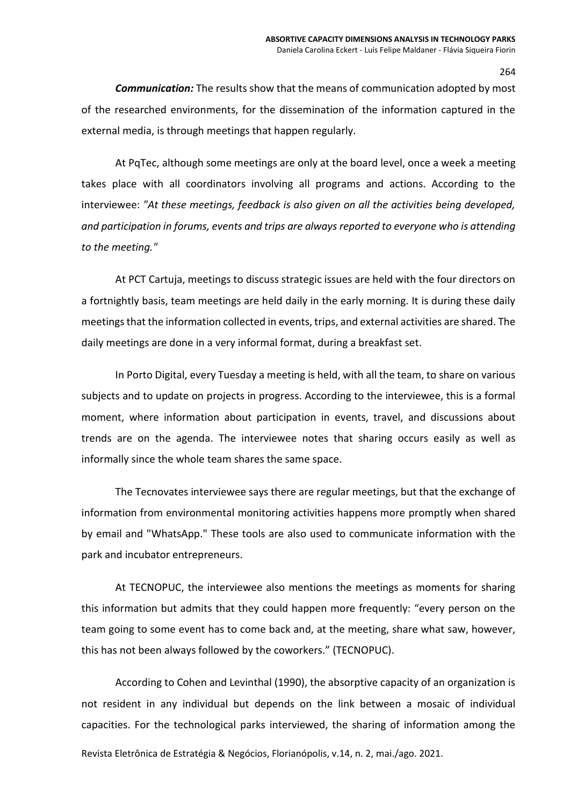*Communication:* The results show that the means of communication adopted by most of the researched environments, for the dissemination of the information captured in the external media, is through meetings that happen regularly.

At PqTec, although some meetings are only at the board level, once a week a meeting takes place with all coordinators involving all programs and actions. According to the interviewee: *"At these meetings, feedback is also given on all the activities being developed, and participation in forums, events and trips are always reported to everyone who is attending to the meeting."*

At PCT Cartuja, meetings to discuss strategic issues are held with the four directors on a fortnightly basis, team meetings are held daily in the early morning. It is during these daily meetings that the information collected in events, trips, and external activities are shared. The daily meetings are done in a very informal format, during a breakfast set.

In Porto Digital, every Tuesday a meeting is held, with all the team, to share on various subjects and to update on projects in progress. According to the interviewee, this is a formal moment, where information about participation in events, travel, and discussions about trends are on the agenda. The interviewee notes that sharing occurs easily as well as informally since the whole team shares the same space.

The Tecnovates interviewee says there are regular meetings, but that the exchange of information from environmental monitoring activities happens more promptly when shared by email and "WhatsApp." These tools are also used to communicate information with the park and incubator entrepreneurs.

At TECNOPUC, the interviewee also mentions the meetings as moments for sharing this information but admits that they could happen more frequently: "every person on the team going to some event has to come back and, at the meeting, share what saw, however, this has not been always followed by the coworkers." (TECNOPUC).

According to Cohen and Levinthal (1990), the absorptive capacity of an organization is not resident in any individual but depends on the link between a mosaic of individual capacities. For the technological parks interviewed, the sharing of information among the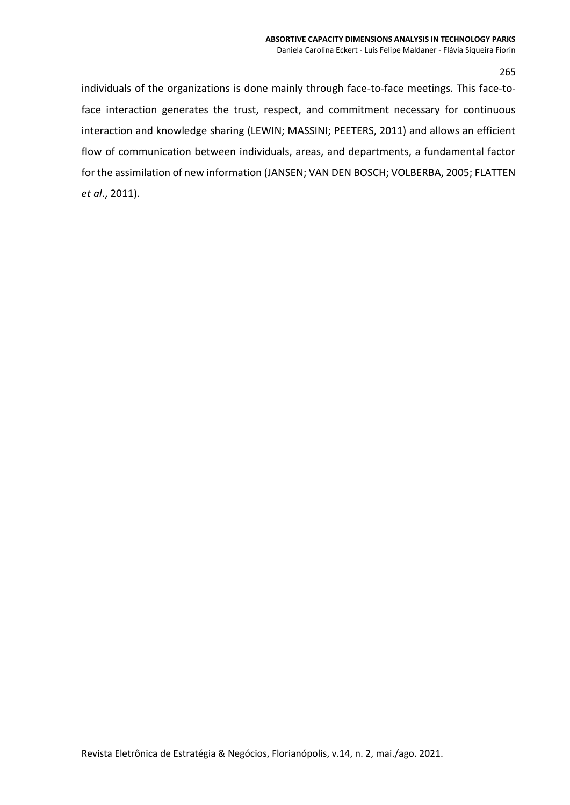individuals of the organizations is done mainly through face-to-face meetings. This face-toface interaction generates the trust, respect, and commitment necessary for continuous interaction and knowledge sharing (LEWIN; MASSINI; PEETERS, 2011) and allows an efficient flow of communication between individuals, areas, and departments, a fundamental factor for the assimilation of new information (JANSEN; VAN DEN BOSCH; VOLBERBA, 2005; FLATTEN *et al*., 2011).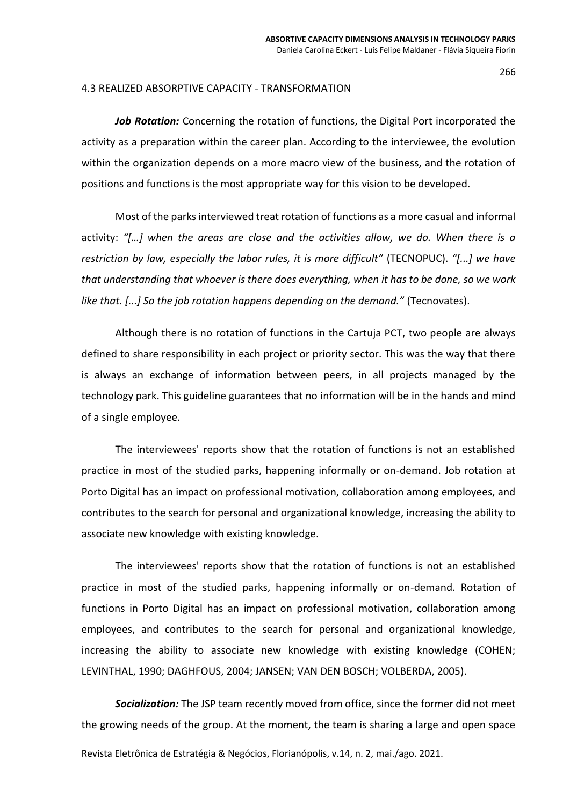### 4.3 REALIZED ABSORPTIVE CAPACITY - TRANSFORMATION

*Job Rotation:* Concerning the rotation of functions, the Digital Port incorporated the activity as a preparation within the career plan. According to the interviewee, the evolution within the organization depends on a more macro view of the business, and the rotation of positions and functions is the most appropriate way for this vision to be developed.

Most of the parks interviewed treat rotation of functions as a more casual and informal activity: *"[…] when the areas are close and the activities allow, we do. When there is a restriction by law, especially the labor rules, it is more difficult"* (TECNOPUC). *"[...] we have that understanding that whoever is there does everything, when it has to be done, so we work like that. [...] So the job rotation happens depending on the demand."* (Tecnovates).

Although there is no rotation of functions in the Cartuja PCT, two people are always defined to share responsibility in each project or priority sector. This was the way that there is always an exchange of information between peers, in all projects managed by the technology park. This guideline guarantees that no information will be in the hands and mind of a single employee.

The interviewees' reports show that the rotation of functions is not an established practice in most of the studied parks, happening informally or on-demand. Job rotation at Porto Digital has an impact on professional motivation, collaboration among employees, and contributes to the search for personal and organizational knowledge, increasing the ability to associate new knowledge with existing knowledge.

The interviewees' reports show that the rotation of functions is not an established practice in most of the studied parks, happening informally or on-demand. Rotation of functions in Porto Digital has an impact on professional motivation, collaboration among employees, and contributes to the search for personal and organizational knowledge, increasing the ability to associate new knowledge with existing knowledge (COHEN; LEVINTHAL, 1990; DAGHFOUS, 2004; JANSEN; VAN DEN BOSCH; VOLBERDA, 2005).

*Socialization:* The JSP team recently moved from office, since the former did not meet the growing needs of the group. At the moment, the team is sharing a large and open space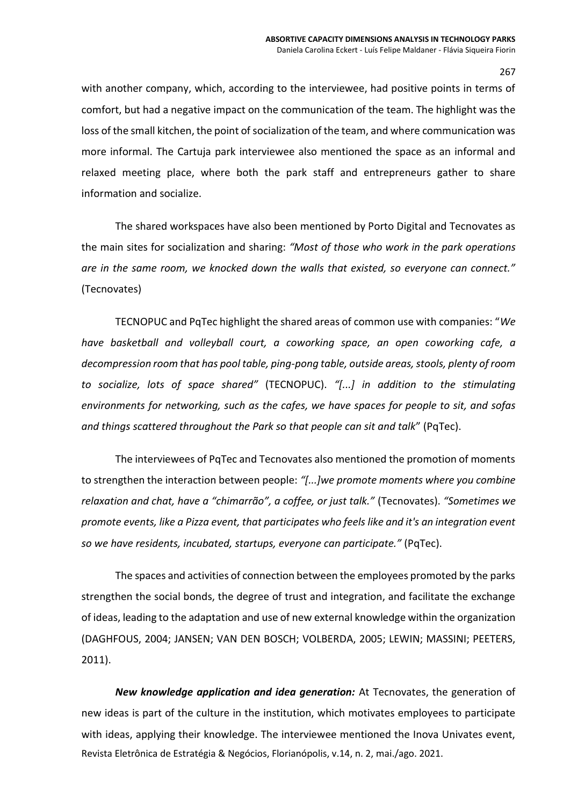with another company, which, according to the interviewee, had positive points in terms of comfort, but had a negative impact on the communication of the team. The highlight was the loss of the small kitchen, the point of socialization of the team, and where communication was more informal. The Cartuja park interviewee also mentioned the space as an informal and relaxed meeting place, where both the park staff and entrepreneurs gather to share information and socialize.

The shared workspaces have also been mentioned by Porto Digital and Tecnovates as the main sites for socialization and sharing: *"Most of those who work in the park operations are in the same room, we knocked down the walls that existed, so everyone can connect."*  (Tecnovates)

TECNOPUC and PqTec highlight the shared areas of common use with companies: "*We have basketball and volleyball court, a coworking space, an open coworking cafe, a decompression room that has pool table, ping-pong table, outside areas, stools, plenty of room to socialize, lots of space shared"* (TECNOPUC). *"[...] in addition to the stimulating environments for networking, such as the cafes, we have spaces for people to sit, and sofas and things scattered throughout the Park so that people can sit and talk*" (PqTec).

The interviewees of PqTec and Tecnovates also mentioned the promotion of moments to strengthen the interaction between people: *"[...]we promote moments where you combine relaxation and chat, have a "chimarrão", a coffee, or just talk."* (Tecnovates). *"Sometimes we promote events, like a Pizza event, that participates who feels like and it's an integration event so we have residents, incubated, startups, everyone can participate."* (PqTec).

The spaces and activities of connection between the employees promoted by the parks strengthen the social bonds, the degree of trust and integration, and facilitate the exchange of ideas, leading to the adaptation and use of new external knowledge within the organization (DAGHFOUS, 2004; JANSEN; VAN DEN BOSCH; VOLBERDA, 2005; LEWIN; MASSINI; PEETERS, 2011).

Revista Eletrônica de Estratégia & Negócios, Florianópolis, v.14, n. 2, mai./ago. 2021. *New knowledge application and idea generation:* At Tecnovates, the generation of new ideas is part of the culture in the institution, which motivates employees to participate with ideas, applying their knowledge. The interviewee mentioned the Inova Univates event,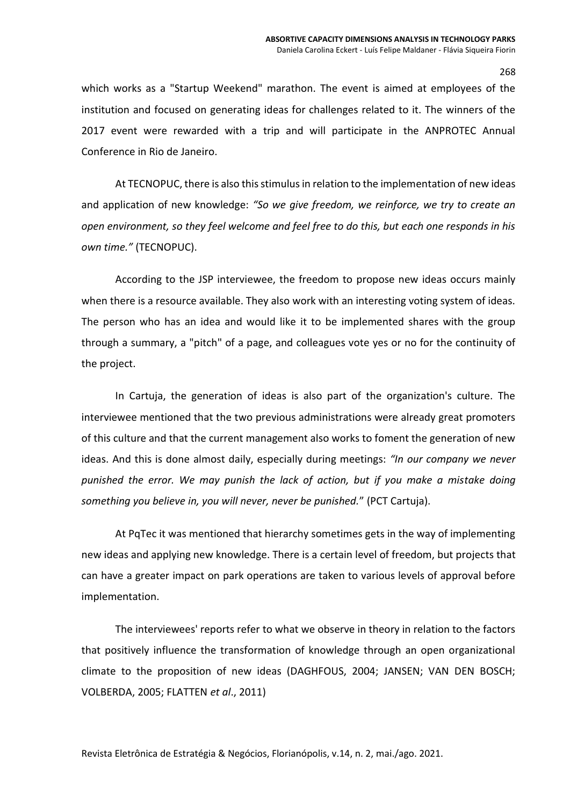which works as a "Startup Weekend" marathon. The event is aimed at employees of the institution and focused on generating ideas for challenges related to it. The winners of the 2017 event were rewarded with a trip and will participate in the ANPROTEC Annual Conference in Rio de Janeiro.

At TECNOPUC, there is also this stimulus in relation to the implementation of new ideas and application of new knowledge: *"So we give freedom, we reinforce, we try to create an open environment, so they feel welcome and feel free to do this, but each one responds in his own time."* (TECNOPUC).

According to the JSP interviewee, the freedom to propose new ideas occurs mainly when there is a resource available. They also work with an interesting voting system of ideas. The person who has an idea and would like it to be implemented shares with the group through a summary, a "pitch" of a page, and colleagues vote yes or no for the continuity of the project.

In Cartuja, the generation of ideas is also part of the organization's culture. The interviewee mentioned that the two previous administrations were already great promoters of this culture and that the current management also works to foment the generation of new ideas. And this is done almost daily, especially during meetings: *"In our company we never punished the error. We may punish the lack of action, but if you make a mistake doing something you believe in, you will never, never be punished.*" (PCT Cartuja).

At PqTec it was mentioned that hierarchy sometimes gets in the way of implementing new ideas and applying new knowledge. There is a certain level of freedom, but projects that can have a greater impact on park operations are taken to various levels of approval before implementation.

The interviewees' reports refer to what we observe in theory in relation to the factors that positively influence the transformation of knowledge through an open organizational climate to the proposition of new ideas (DAGHFOUS, 2004; JANSEN; VAN DEN BOSCH; VOLBERDA, 2005; FLATTEN *et al*., 2011)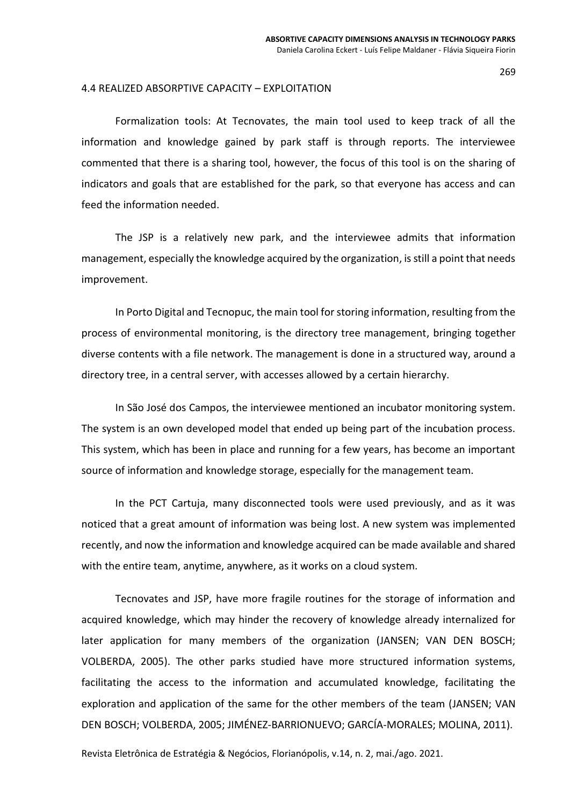#### 4.4 REALIZED ABSORPTIVE CAPACITY – EXPLOITATION

Formalization tools: At Tecnovates, the main tool used to keep track of all the information and knowledge gained by park staff is through reports. The interviewee commented that there is a sharing tool, however, the focus of this tool is on the sharing of indicators and goals that are established for the park, so that everyone has access and can feed the information needed.

The JSP is a relatively new park, and the interviewee admits that information management, especially the knowledge acquired by the organization, is still a point that needs improvement.

In Porto Digital and Tecnopuc, the main tool for storing information, resulting from the process of environmental monitoring, is the directory tree management, bringing together diverse contents with a file network. The management is done in a structured way, around a directory tree, in a central server, with accesses allowed by a certain hierarchy.

In São José dos Campos, the interviewee mentioned an incubator monitoring system. The system is an own developed model that ended up being part of the incubation process. This system, which has been in place and running for a few years, has become an important source of information and knowledge storage, especially for the management team.

In the PCT Cartuja, many disconnected tools were used previously, and as it was noticed that a great amount of information was being lost. A new system was implemented recently, and now the information and knowledge acquired can be made available and shared with the entire team, anytime, anywhere, as it works on a cloud system.

Tecnovates and JSP, have more fragile routines for the storage of information and acquired knowledge, which may hinder the recovery of knowledge already internalized for later application for many members of the organization (JANSEN; VAN DEN BOSCH; VOLBERDA, 2005). The other parks studied have more structured information systems, facilitating the access to the information and accumulated knowledge, facilitating the exploration and application of the same for the other members of the team (JANSEN; VAN DEN BOSCH; VOLBERDA, 2005; JIMÉNEZ-BARRIONUEVO; GARCÍA-MORALES; MOLINA, 2011).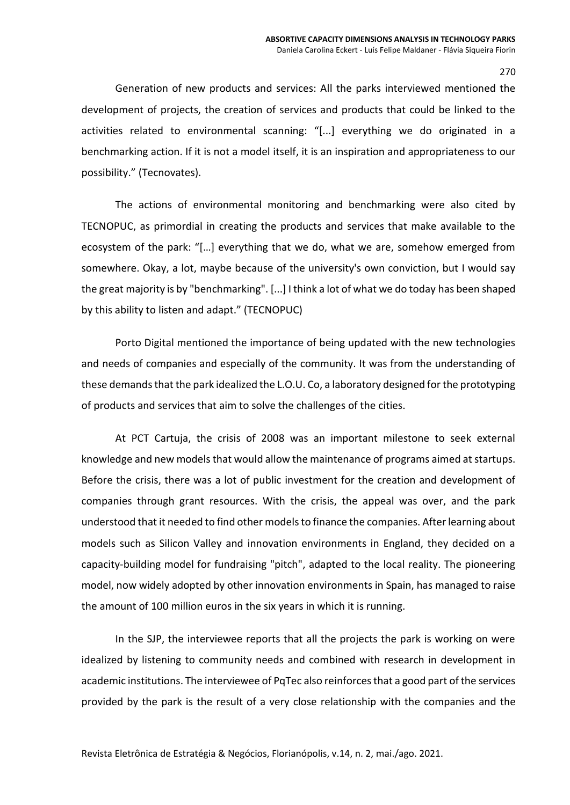Generation of new products and services: All the parks interviewed mentioned the development of projects, the creation of services and products that could be linked to the activities related to environmental scanning: "[...] everything we do originated in a benchmarking action. If it is not a model itself, it is an inspiration and appropriateness to our possibility." (Tecnovates).

The actions of environmental monitoring and benchmarking were also cited by TECNOPUC, as primordial in creating the products and services that make available to the ecosystem of the park: "[…] everything that we do, what we are, somehow emerged from somewhere. Okay, a lot, maybe because of the university's own conviction, but I would say the great majority is by "benchmarking". [...] I think a lot of what we do today has been shaped by this ability to listen and adapt." (TECNOPUC)

Porto Digital mentioned the importance of being updated with the new technologies and needs of companies and especially of the community. It was from the understanding of these demands that the park idealized the L.O.U. Co, a laboratory designed for the prototyping of products and services that aim to solve the challenges of the cities.

At PCT Cartuja, the crisis of 2008 was an important milestone to seek external knowledge and new models that would allow the maintenance of programs aimed at startups. Before the crisis, there was a lot of public investment for the creation and development of companies through grant resources. With the crisis, the appeal was over, and the park understood that it needed to find other models to finance the companies. After learning about models such as Silicon Valley and innovation environments in England, they decided on a capacity-building model for fundraising "pitch", adapted to the local reality. The pioneering model, now widely adopted by other innovation environments in Spain, has managed to raise the amount of 100 million euros in the six years in which it is running.

In the SJP, the interviewee reports that all the projects the park is working on were idealized by listening to community needs and combined with research in development in academic institutions. The interviewee of PqTec also reinforces that a good part of the services provided by the park is the result of a very close relationship with the companies and the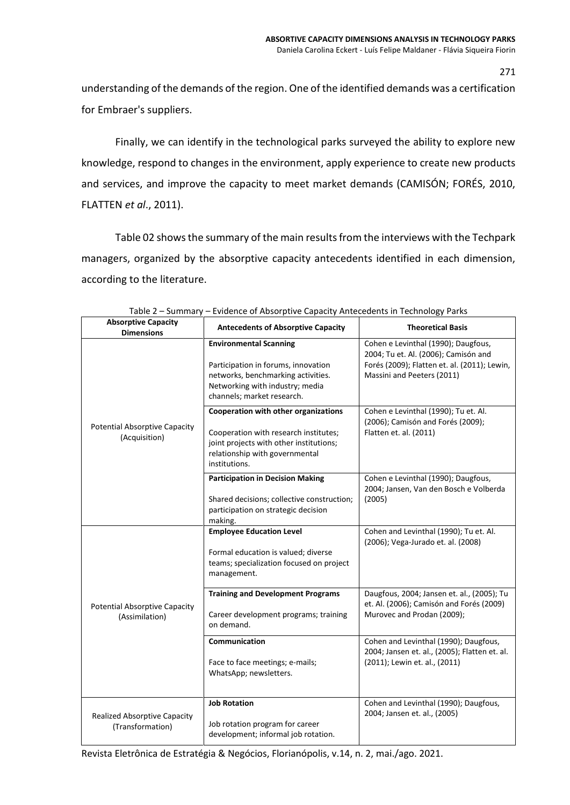understanding of the demands of the region. One of the identified demands was a certification for Embraer's suppliers.

Finally, we can identify in the technological parks surveyed the ability to explore new knowledge, respond to changes in the environment, apply experience to create new products and services, and improve the capacity to meet market demands (CAMISÓN; FORÉS, 2010, FLATTEN *et al*., 2011).

Table 02 shows the summary of the main results from the interviews with the Techpark managers, organized by the absorptive capacity antecedents identified in each dimension, according to the literature.

| <b>Absorptive Capacity</b><br><b>Dimensions</b>         | <b>Antecedents of Absorptive Capacity</b>                                                                                                                                   | <b>Theoretical Basis</b>                                                                                                                                  |
|---------------------------------------------------------|-----------------------------------------------------------------------------------------------------------------------------------------------------------------------------|-----------------------------------------------------------------------------------------------------------------------------------------------------------|
| <b>Potential Absorptive Capacity</b><br>(Acquisition)   | <b>Environmental Scanning</b><br>Participation in forums, innovation<br>networks, benchmarking activities.<br>Networking with industry; media<br>channels; market research. | Cohen e Levinthal (1990); Daugfous,<br>2004; Tu et. Al. (2006); Camisón and<br>Forés (2009); Flatten et. al. (2011); Lewin,<br>Massini and Peeters (2011) |
|                                                         | Cooperation with other organizations<br>Cooperation with research institutes;<br>joint projects with other institutions;<br>relationship with governmental<br>institutions. | Cohen e Levinthal (1990); Tu et. Al.<br>(2006); Camisón and Forés (2009);<br>Flatten et. al. (2011)                                                       |
|                                                         | <b>Participation in Decision Making</b><br>Shared decisions; collective construction;<br>participation on strategic decision<br>making.                                     | Cohen e Levinthal (1990); Daugfous,<br>2004; Jansen, Van den Bosch e Volberda<br>(2005)                                                                   |
| <b>Potential Absorptive Capacity</b><br>(Assimilation)  | <b>Employee Education Level</b><br>Formal education is valued; diverse<br>teams; specialization focused on project<br>management.                                           | Cohen and Levinthal (1990); Tu et. Al.<br>(2006); Vega-Jurado et. al. (2008)                                                                              |
|                                                         | <b>Training and Development Programs</b><br>Career development programs; training<br>on demand.                                                                             | Daugfous, 2004; Jansen et. al., (2005); Tu<br>et. Al. (2006); Camisón and Forés (2009)<br>Murovec and Prodan (2009);                                      |
|                                                         | Communication<br>Face to face meetings; e-mails;<br>WhatsApp; newsletters.                                                                                                  | Cohen and Levinthal (1990); Daugfous,<br>2004; Jansen et. al., (2005); Flatten et. al.<br>(2011); Lewin et. al., (2011)                                   |
| <b>Realized Absorptive Capacity</b><br>(Transformation) | <b>Job Rotation</b><br>Job rotation program for career<br>development; informal job rotation.                                                                               | Cohen and Levinthal (1990); Daugfous,<br>2004; Jansen et. al., (2005)                                                                                     |

Table 2 – Summary – Evidence of Absorptive Capacity Antecedents in Technology Parks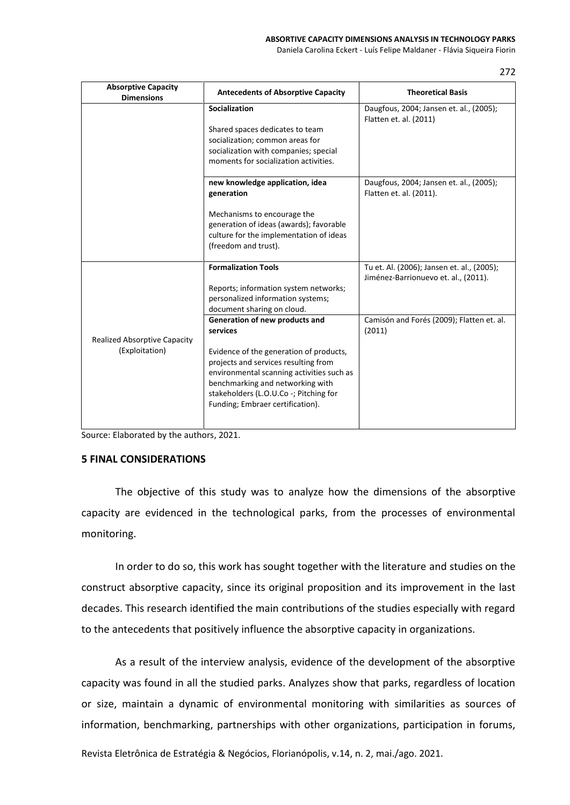Daniela Carolina Eckert - Luís Felipe Maldaner - Flávia Siqueira Fiorin

272

| <b>Absorptive Capacity</b><br><b>Dimensions</b> | <b>Antecedents of Absorptive Capacity</b>                                      | <b>Theoretical Basis</b>                                                           |
|-------------------------------------------------|--------------------------------------------------------------------------------|------------------------------------------------------------------------------------|
|                                                 | Socialization                                                                  | Daugfous, 2004; Jansen et. al., (2005);<br>Flatten et. al. (2011)                  |
|                                                 | Shared spaces dedicates to team                                                |                                                                                    |
|                                                 | socialization; common areas for                                                |                                                                                    |
|                                                 | socialization with companies; special<br>moments for socialization activities. |                                                                                    |
|                                                 | new knowledge application, idea<br>generation                                  | Daugfous, 2004; Jansen et. al., (2005);<br>Flatten et. al. (2011).                 |
|                                                 | Mechanisms to encourage the                                                    |                                                                                    |
|                                                 | generation of ideas (awards); favorable                                        |                                                                                    |
|                                                 | culture for the implementation of ideas                                        |                                                                                    |
|                                                 | (freedom and trust).                                                           |                                                                                    |
|                                                 | <b>Formalization Tools</b>                                                     | Tu et. Al. (2006); Jansen et. al., (2005);<br>Jiménez-Barrionuevo et. al., (2011). |
|                                                 | Reports; information system networks;                                          |                                                                                    |
|                                                 | personalized information systems;                                              |                                                                                    |
|                                                 | document sharing on cloud.                                                     |                                                                                    |
|                                                 | Generation of new products and                                                 | Camisón and Forés (2009); Flatten et. al.                                          |
| <b>Realized Absorptive Capacity</b>             | services                                                                       | (2011)                                                                             |
| (Exploitation)                                  | Evidence of the generation of products,                                        |                                                                                    |
|                                                 | projects and services resulting from                                           |                                                                                    |
|                                                 | environmental scanning activities such as                                      |                                                                                    |
|                                                 | benchmarking and networking with                                               |                                                                                    |
|                                                 | stakeholders (L.O.U.Co -; Pitching for                                         |                                                                                    |
|                                                 | Funding; Embraer certification).                                               |                                                                                    |
|                                                 |                                                                                |                                                                                    |

Source: Elaborated by the authors, 2021.

## **5 FINAL CONSIDERATIONS**

The objective of this study was to analyze how the dimensions of the absorptive capacity are evidenced in the technological parks, from the processes of environmental monitoring.

In order to do so, this work has sought together with the literature and studies on the construct absorptive capacity, since its original proposition and its improvement in the last decades. This research identified the main contributions of the studies especially with regard to the antecedents that positively influence the absorptive capacity in organizations.

As a result of the interview analysis, evidence of the development of the absorptive capacity was found in all the studied parks. Analyzes show that parks, regardless of location or size, maintain a dynamic of environmental monitoring with similarities as sources of information, benchmarking, partnerships with other organizations, participation in forums,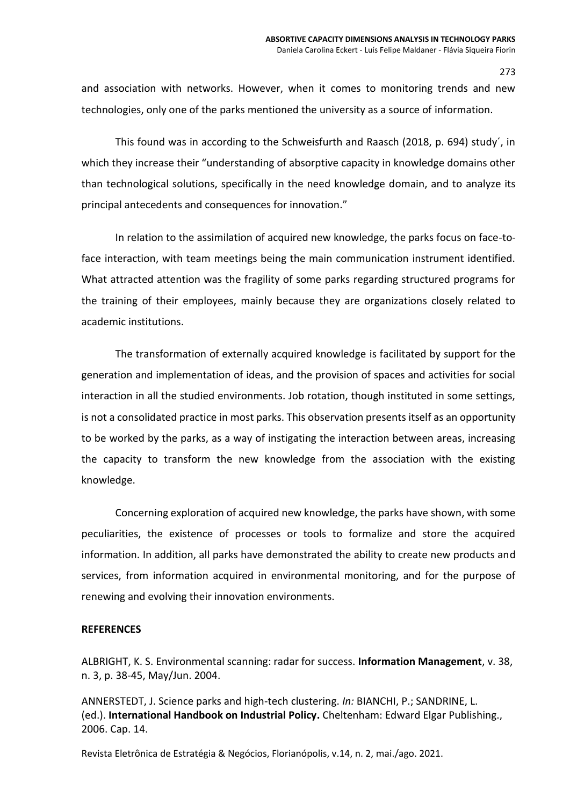and association with networks. However, when it comes to monitoring trends and new technologies, only one of the parks mentioned the university as a source of information.

This found was in according to the Schweisfurth and Raasch (2018, p. 694) study´, in which they increase their "understanding of absorptive capacity in knowledge domains other than technological solutions, specifically in the need knowledge domain, and to analyze its principal antecedents and consequences for innovation."

In relation to the assimilation of acquired new knowledge, the parks focus on face-toface interaction, with team meetings being the main communication instrument identified. What attracted attention was the fragility of some parks regarding structured programs for the training of their employees, mainly because they are organizations closely related to academic institutions.

The transformation of externally acquired knowledge is facilitated by support for the generation and implementation of ideas, and the provision of spaces and activities for social interaction in all the studied environments. Job rotation, though instituted in some settings, is not a consolidated practice in most parks. This observation presents itself as an opportunity to be worked by the parks, as a way of instigating the interaction between areas, increasing the capacity to transform the new knowledge from the association with the existing knowledge.

Concerning exploration of acquired new knowledge, the parks have shown, with some peculiarities, the existence of processes or tools to formalize and store the acquired information. In addition, all parks have demonstrated the ability to create new products and services, from information acquired in environmental monitoring, and for the purpose of renewing and evolving their innovation environments.

# **REFERENCES**

ALBRIGHT, K. S. Environmental scanning: radar for success. **Information Management**, v. 38, n. 3, p. 38-45, May/Jun. 2004.

ANNERSTEDT, J. Science parks and high-tech clustering. *In:* BIANCHI, P.; SANDRINE, L. (ed.). **International Handbook on Industrial Policy.** Cheltenham: Edward Elgar Publishing., 2006. Cap. 14.

Revista Eletrônica de Estratégia & Negócios, Florianópolis, v.14, n. 2, mai./ago. 2021.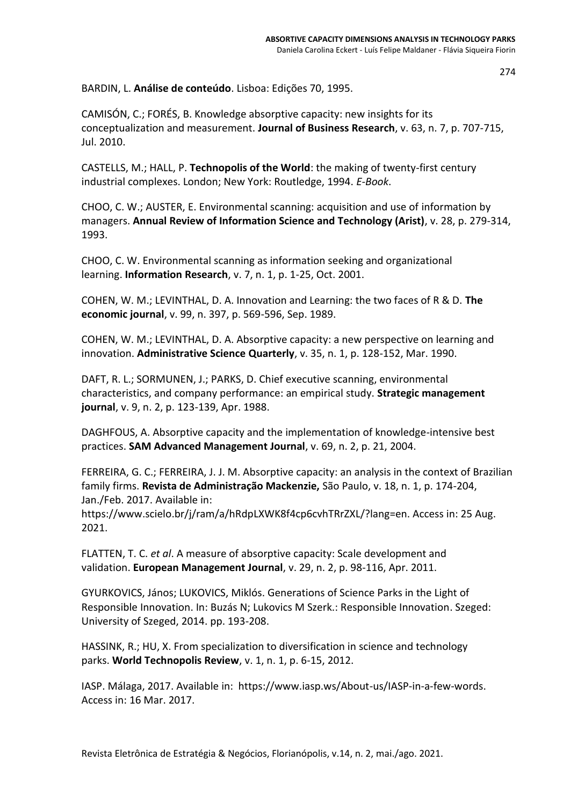BARDIN, L. **Análise de conteúdo**. Lisboa: Edições 70, 1995.

CAMISÓN, C.; FORÉS, B. Knowledge absorptive capacity: new insights for its conceptualization and measurement. **Journal of Business Research**, v. 63, n. 7, p. 707-715, Jul. 2010.

CASTELLS, M.; HALL, P. **Technopolis of the World**: the making of twenty-first century industrial complexes. London; New York: Routledge, 1994. *E-Book*.

CHOO, C. W.; AUSTER, E. Environmental scanning: acquisition and use of information by managers. **Annual Review of Information Science and Technology (Arist)**, v. 28, p. 279-314, 1993.

CHOO, C. W. Environmental scanning as information seeking and organizational learning. **Information Research**, v. 7, n. 1, p. 1-25, Oct. 2001.

COHEN, W. M.; LEVINTHAL, D. A. Innovation and Learning: the two faces of R & D. **The economic journal**, v. 99, n. 397, p. 569-596, Sep. 1989.

COHEN, W. M.; LEVINTHAL, D. A. Absorptive capacity: a new perspective on learning and innovation. **Administrative Science Quarterly**, v. 35, n. 1, p. 128-152, Mar. 1990.

DAFT, R. L.; SORMUNEN, J.; PARKS, D. Chief executive scanning, environmental characteristics, and company performance: an empirical study. **Strategic management journal**, v. 9, n. 2, p. 123-139, Apr. 1988.

DAGHFOUS, A. Absorptive capacity and the implementation of knowledge-intensive best practices. **SAM Advanced Management Journal**, v. 69, n. 2, p. 21, 2004.

FERREIRA, G. C.; FERREIRA, J. J. M. Absorptive capacity: an analysis in the context of Brazilian family firms. **Revista de Administração Mackenzie,** São Paulo, v. 18, n. 1, p. 174-204, Jan./Feb. 2017. Available in:

https://www.scielo.br/j/ram/a/hRdpLXWK8f4cp6cvhTRrZXL/?lang=en. Access in: 25 Aug. 2021.

FLATTEN, T. C. *et al*. A measure of absorptive capacity: Scale development and validation. **European Management Journal**, v. 29, n. 2, p. 98-116, Apr. 2011.

GYURKOVICS, János; LUKOVICS, Miklós. Generations of Science Parks in the Light of Responsible Innovation. In: Buzás N; Lukovics M Szerk.: Responsible Innovation. Szeged: University of Szeged, 2014. pp. 193-208.

HASSINK, R.; HU, X. From specialization to diversification in science and technology parks. **World Technopolis Review**, v. 1, n. 1, p. 6-15, 2012.

IASP. Málaga, 2017. Available in: https://www.iasp.ws/About-us/IASP-in-a-few-words. Access in: 16 Mar. 2017.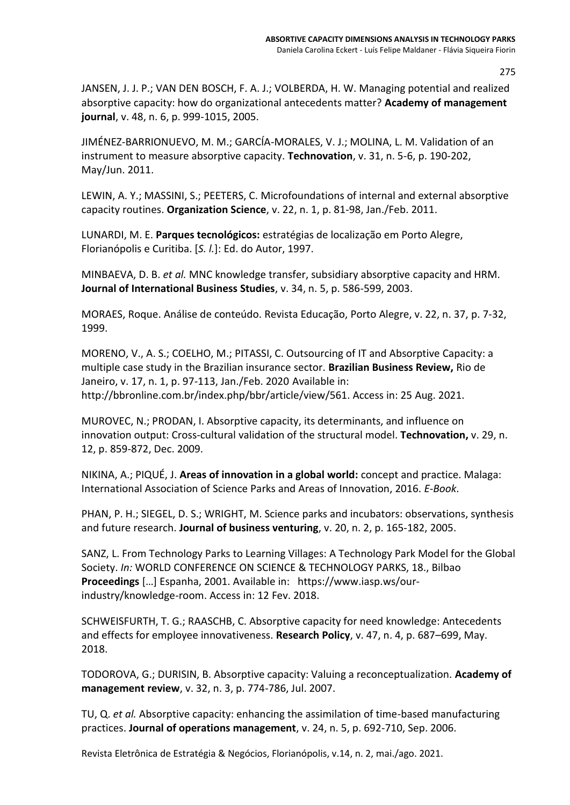JANSEN, J. J. P.; VAN DEN BOSCH, F. A. J.; VOLBERDA, H. W. Managing potential and realized absorptive capacity: how do organizational antecedents matter? **Academy of management journal**, v. 48, n. 6, p. 999-1015, 2005.

JIMÉNEZ-BARRIONUEVO, M. M.; GARCÍA-MORALES, V. J.; MOLINA, L. M. Validation of an instrument to measure absorptive capacity. **Technovation**, v. 31, n. 5-6, p. 190-202, May/Jun. 2011.

LEWIN, A. Y.; MASSINI, S.; PEETERS, C. Microfoundations of internal and external absorptive capacity routines. **Organization Science**, v. 22, n. 1, p. 81-98, Jan./Feb. 2011.

LUNARDI, M. E. **Parques tecnológicos:** estratégias de localização em Porto Alegre, Florianópolis e Curitiba. [*S. l.*]: Ed. do Autor, 1997.

MINBAEVA, D. B. *et al.* MNC knowledge transfer, subsidiary absorptive capacity and HRM. **Journal of International Business Studies**, v. 34, n. 5, p. 586-599, 2003.

MORAES, Roque. Análise de conteúdo. Revista Educação, Porto Alegre, v. 22, n. 37, p. 7-32, 1999.

MORENO, V., A. S.; COELHO, M.; PITASSI, C. Outsourcing of IT and Absorptive Capacity: a multiple case study in the Brazilian insurance sector. **Brazilian Business Review,** Rio de Janeiro, v. 17, n. 1, p. 97-113, Jan./Feb. 2020 Available in: http://bbronline.com.br/index.php/bbr/article/view/561. Access in: 25 Aug. 2021.

MUROVEC, N.; PRODAN, I. Absorptive capacity, its determinants, and influence on innovation output: Cross-cultural validation of the structural model. **Technovation,** v. 29, n. 12, p. 859-872, Dec. 2009.

NIKINA, A.; PIQUÉ, J. **Areas of innovation in a global world:** concept and practice. Malaga: International Association of Science Parks and Areas of Innovation, 2016. *E-Book*.

PHAN, P. H.; SIEGEL, D. S.; WRIGHT, M. Science parks and incubators: observations, synthesis and future research. **Journal of business venturing**, v. 20, n. 2, p. 165-182, 2005.

SANZ, L. From Technology Parks to Learning Villages: A Technology Park Model for the Global Society. *In:* WORLD CONFERENCE ON SCIENCE & TECHNOLOGY PARKS, 18., Bilbao **Proceedings** […] Espanha, 2001. Available in: [https://www.iasp.ws/our](https://www.iasp.ws/our-industry/knowledge-room)[industry/knowledge-room.](https://www.iasp.ws/our-industry/knowledge-room) Access in: 12 Fev. 2018.

SCHWEISFURTH, T. G.; RAASCHB, C. Absorptive capacity for need knowledge: Antecedents and effects for employee innovativeness. **Research Policy**, v. 47, n. 4, p. 687–699, May. 2018.

TODOROVA, G.; DURISIN, B. Absorptive capacity: Valuing a reconceptualization. **Academy of management review**, v. 32, n. 3, p. 774-786, Jul. 2007.

TU, Q. *et al.* Absorptive capacity: enhancing the assimilation of time-based manufacturing practices. **Journal of operations management**, v. 24, n. 5, p. 692-710, Sep. 2006.